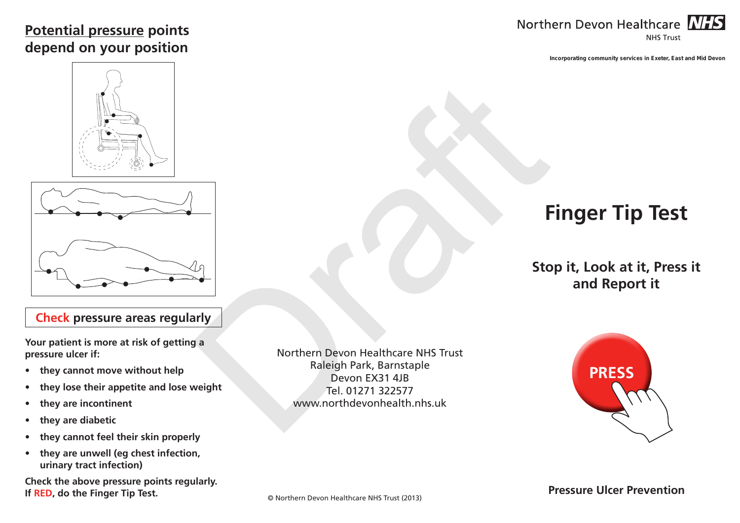### **Potential pressure points depend on your position**



**Incorporating community services in Exeter, East and Mid Devon**





#### **Check pressure areas regularly**

**Your patient is more at risk of getting a pressure ulcer if:**

- **• they cannot move without help**
- **• they lose their appetite and lose weight**
- **• they are incontinent**
- **• they are diabetic**
- **• they cannot feel their skin properly**
- **• they are unwell (eg chest infection, urinary tract infection)**

**Check the above pressure points regularly. If RED, do the Finger Tip Test.**

Northern Devon Healthcare NHS Trust Raleigh Park, Barnstaple Devon EX31 4JB Tel. 01271 322577 www.northdevonhealth.nhs.uk **Example 19**<br> **Example 19**<br> **Example 19**<br>
Northern Devon Healthcare NHS Trust<br>
Raleigh Park, Barnstaple<br>
Devon Exail 14 B<br>
Tel. 01271 322577<br>
WWW.northdevonhealth.nhs.uk<br>
Noww.northdevonhealth.nhs.uk

# **Finger Tip Test**

## **Stop it, Look at it, Press it and Report it**



**Pressure Ulcer Prevention**

© Northern Devon Healthcare NHS Trust (2013)